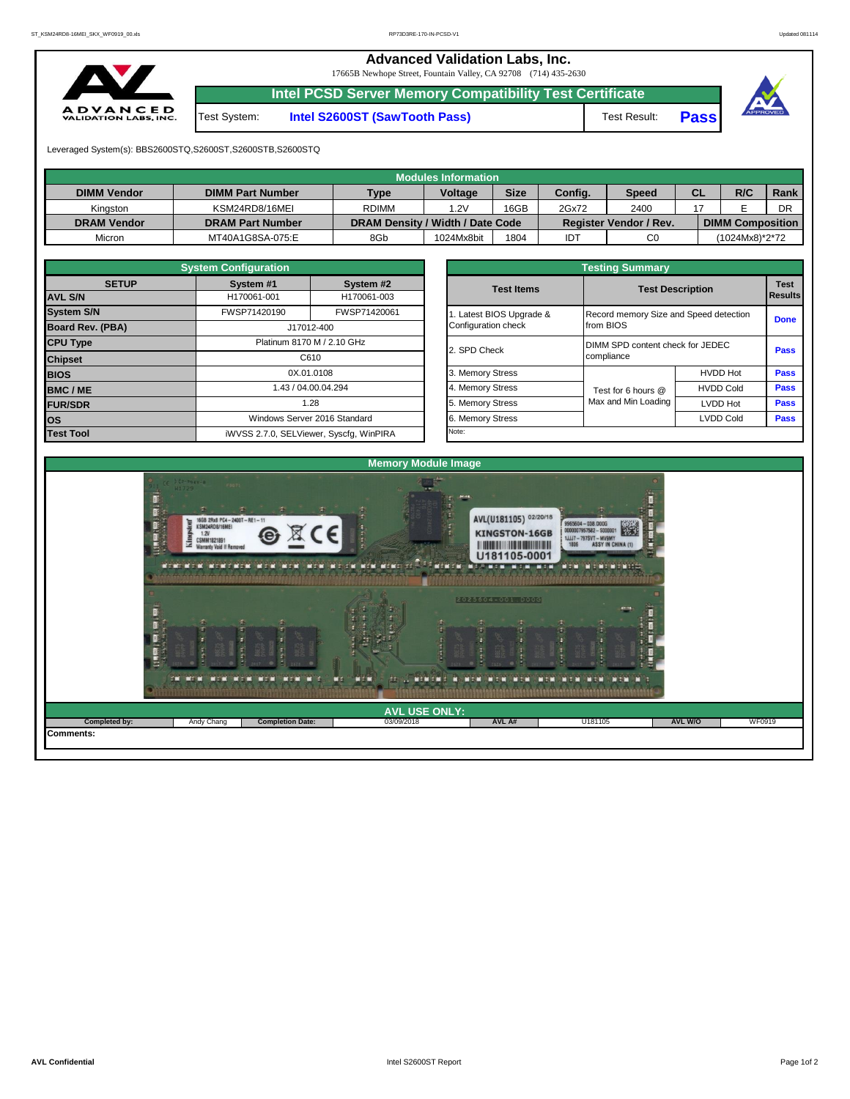**Advanced Validation Labs, Inc.** 

17665B Newhope Street, Fountain Valley, CA 92708 (714) 435-2630



**Intel PCSD Server Memory Compatibility Test Certificate**

Test System: **Intel S2600ST (SawTooth Pass)** Test Result: **Pass**





Leveraged System(s): BBS2600STQ,S2600ST,S2600STB,S2600STQ

|                    |                         |                                  | Modules Information |             |         |                               |    |                         |      |
|--------------------|-------------------------|----------------------------------|---------------------|-------------|---------|-------------------------------|----|-------------------------|------|
| <b>DIMM Vendor</b> | <b>DIMM Part Number</b> | <b>Type</b>                      | <b>Voltage</b>      | <b>Size</b> | Config. | <b>Speed</b>                  | СL | R/C                     | Rank |
| Kinaston           | KSM24RD8/16MEI          | <b>RDIMM</b>                     | 1.2V                | 16GB        | 2Gx72   | 2400                          |    |                         | DR   |
| <b>DRAM Vendor</b> | <b>DRAM Part Number</b> | DRAM Density / Width / Date Code |                     |             |         | <b>Register Vendor / Rev.</b> |    | <b>DIMM Composition</b> |      |
| Micron             | MT40A1G8SA-075:E        | 8Gb                              | 1024Mx8bit          | 1804        | IDT     | C <sub>0</sub>                |    | (1024Mx8)*2*72          |      |

|                         | <b>System Configuration</b> |                                         | <b>Testing Summary</b>   |                                        |                         |             |  |  |  |  |  |
|-------------------------|-----------------------------|-----------------------------------------|--------------------------|----------------------------------------|-------------------------|-------------|--|--|--|--|--|
| <b>SETUP</b>            | System #1                   | System #2                               | <b>Test Items</b>        |                                        | <b>Test Description</b> | <b>Test</b> |  |  |  |  |  |
| <b>AVL S/N</b>          | H170061-001                 | H170061-003                             |                          |                                        | Results                 |             |  |  |  |  |  |
| <b>System S/N</b>       | FWSP71420190                | FWSP71420061                            | 1. Latest BIOS Upgrade & | Record memory Size and Speed detection |                         | <b>Done</b> |  |  |  |  |  |
| <b>Board Rev. (PBA)</b> |                             | J17012-400                              | Configuration check      | from BIOS                              |                         |             |  |  |  |  |  |
| <b>CPU Type</b>         | Platinum 8170 M / 2.10 GHz  |                                         | 2. SPD Check             | DIMM SPD content check for JEDEC       |                         |             |  |  |  |  |  |
| <b>Chipset</b>          | C610                        |                                         |                          | compliance                             |                         |             |  |  |  |  |  |
| <b>BIOS</b>             |                             | 0X.01.0108                              | 3. Memory Stress         |                                        | <b>HVDD Hot</b>         | <b>Pass</b> |  |  |  |  |  |
| <b>BMC/ME</b>           |                             | 1.43 / 04.00.04.294                     | 4. Memory Stress         | Test for 6 hours @                     | <b>HVDD Cold</b>        | <b>Pass</b> |  |  |  |  |  |
| <b>FUR/SDR</b>          |                             | 1.28                                    | 5. Memory Stress         | Max and Min Loading                    | <b>LVDD Hot</b>         | <b>Pass</b> |  |  |  |  |  |
| los                     |                             | Windows Server 2016 Standard            | 6. Memory Stress         |                                        | <b>LVDD Cold</b>        | <b>Pass</b> |  |  |  |  |  |
| <b>Test Tool</b>        |                             | iWVSS 2.7.0, SELViewer, Syscfq, WinPIRA | Note:                    |                                        |                         |             |  |  |  |  |  |

|              | <b>System Configuration</b> |                                    |                       | <b>Testing Summary</b> |                                                                                     |             |  |  |
|--------------|-----------------------------|------------------------------------|-----------------------|------------------------|-------------------------------------------------------------------------------------|-------------|--|--|
| <b>SETUP</b> | System #1                   | System #2                          | <b>Test Items</b>     |                        | <b>Test Description</b><br><b>Results</b><br>Record memory Size and Speed detection |             |  |  |
|              | H170061-001                 | H170061-003                        |                       |                        |                                                                                     |             |  |  |
|              | FWSP71420190                | FWSP71420061                       | Latest BIOS Upgrade & |                        |                                                                                     |             |  |  |
| PBA)         |                             | J17012-400                         | Configuration check   | from BIOS              |                                                                                     |             |  |  |
|              |                             | Platinum 8170 M / 2.10 GHz         |                       |                        | DIMM SPD content check for JEDEC                                                    |             |  |  |
|              |                             | C610                               | 2. SPD Check          | compliance             |                                                                                     |             |  |  |
|              |                             | 0X.01.0108                         |                       |                        | <b>HVDD Hot</b>                                                                     | Pass        |  |  |
|              |                             | 1.43 / 04.00.04.294                | 4. Memory Stress      | Test for 6 hours @     | <b>HVDD Cold</b>                                                                    | Pass        |  |  |
|              |                             | 1.28                               | 5. Memory Stress      | Max and Min Loading    | LVDD Hot                                                                            | Pass        |  |  |
|              |                             | Windows Server 2016 Standard       | 6. Memory Stress      |                        | <b>LVDD Cold</b>                                                                    | <b>Pass</b> |  |  |
|              |                             | iMVSS 270 SELViewer Svecta WinPIRA | Note:                 |                        |                                                                                     |             |  |  |